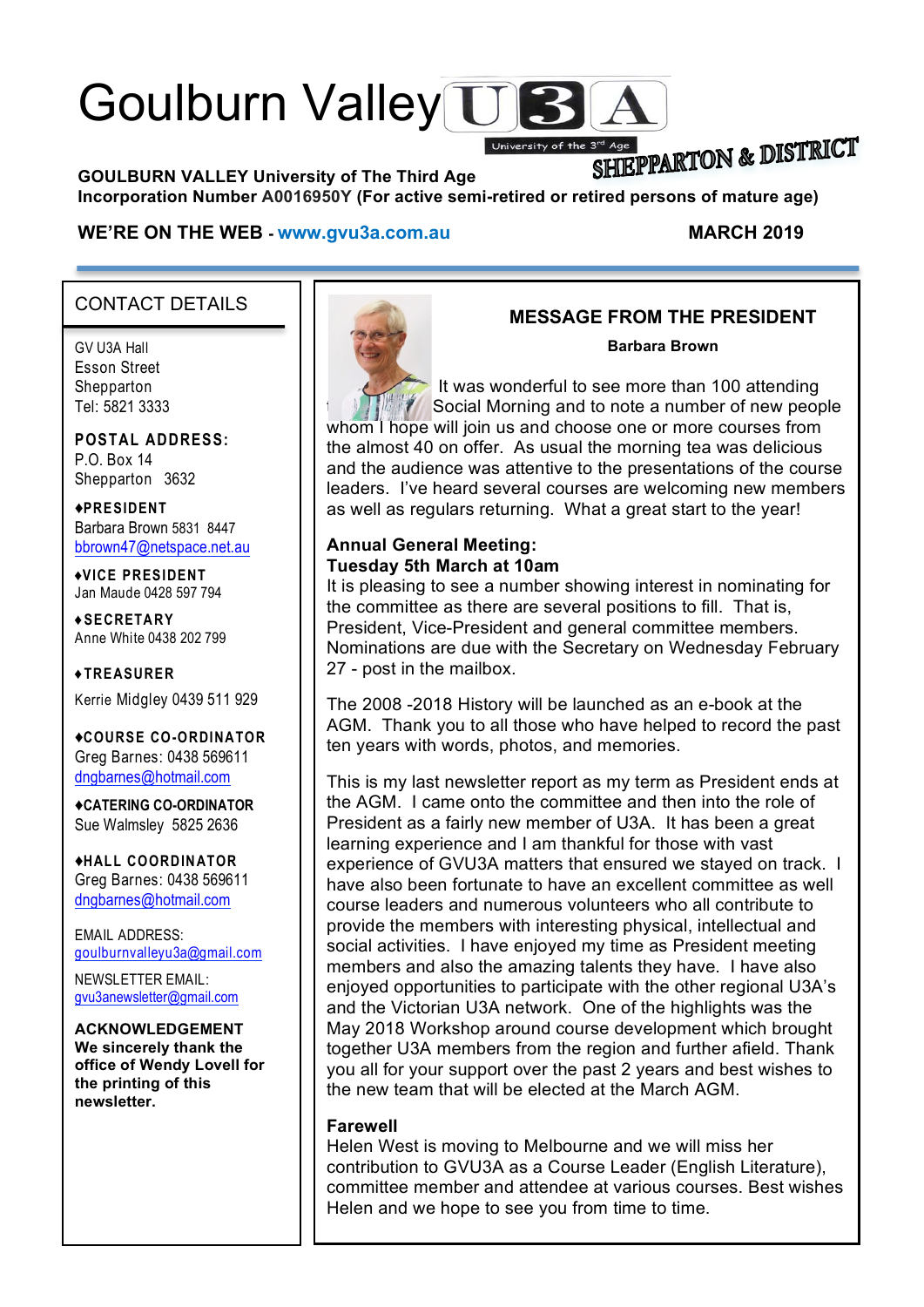# Goulburn Valley US

SHIEPPARTON & DISTRICT **GOULBURN VALLEY University of The Third Age Incorporation Number A0016950Y (For active semi-retired or retired persons of mature age)**

University of the 3'

#### **WE'RE ON THE WEB - www.gvu3a.com.au MARCH 2019**

### CONTACT DETAILS

GV U3A Hall Esson Street **Shepparton** Tel: 5821 3333

**POSTAL ADDRESS:** P.O. Box 14 Shepparton 3632

♦**PRESIDENT** Barbara Brown 5831 8447 bbrown47@netspace.net.au

♦**VICE PRESIDENT** Jan Maude 0428 597 794

**♦SECRETARY** Anne White 0438 202 799

**♦TREASURER** Kerrie Midgley 0439 511 929

♦**COURSE CO-ORDINATOR** Greg Barnes: 0438 569611 dngbarnes@hotmail.com

♦**CATERING CO-ORDINATOR** Sue Walmsley 5825 2636

♦**HALL COORDINATOR** Greg Barnes: 0438 569611 dngbarnes@hotmail.com

EMAIL ADDRESS: goulburnvalleyu3a@gmail.com

NEWSLETTER EMAIL: gvu3anewsletter@gmail.com

**ACKNOWLEDGEMENT We sincerely thank the office of Wendy Lovell for the printing of this newsletter.**



### **MESSAGE FROM THE PRESIDENT**

#### **Barbara Brown**

It was wonderful to see more than 100 attending **February Social Morning and to note a number of new people** 

whom I hope will join us and choose one or more courses from the almost 40 on offer. As usual the morning tea was delicious and the audience was attentive to the presentations of the course leaders. I've heard several courses are welcoming new members as well as regulars returning. What a great start to the year!

#### **Annual General Meeting: Tuesday 5th March at 10am**

It is pleasing to see a number showing interest in nominating for the committee as there are several positions to fill. That is, President, Vice-President and general committee members. Nominations are due with the Secretary on Wednesday February 27 - post in the mailbox.

The 2008 -2018 History will be launched as an e-book at the AGM. Thank you to all those who have helped to record the past ten years with words, photos, and memories.

This is my last newsletter report as my term as President ends at the AGM. I came onto the committee and then into the role of President as a fairly new member of U3A. It has been a great learning experience and I am thankful for those with vast experience of GVU3A matters that ensured we stayed on track. I have also been fortunate to have an excellent committee as well course leaders and numerous volunteers who all contribute to provide the members with interesting physical, intellectual and social activities. I have enjoyed my time as President meeting members and also the amazing talents they have. I have also enjoyed opportunities to participate with the other regional U3A's and the Victorian U3A network. One of the highlights was the May 2018 Workshop around course development which brought together U3A members from the region and further afield. Thank you all for your support over the past 2 years and best wishes to the new team that will be elected at the March AGM.

#### **Farewell**

Helen West is moving to Melbourne and we will miss her contribution to GVU3A as a Course Leader (English Literature), committee member and attendee at various courses. Best wishes Helen and we hope to see you from time to time.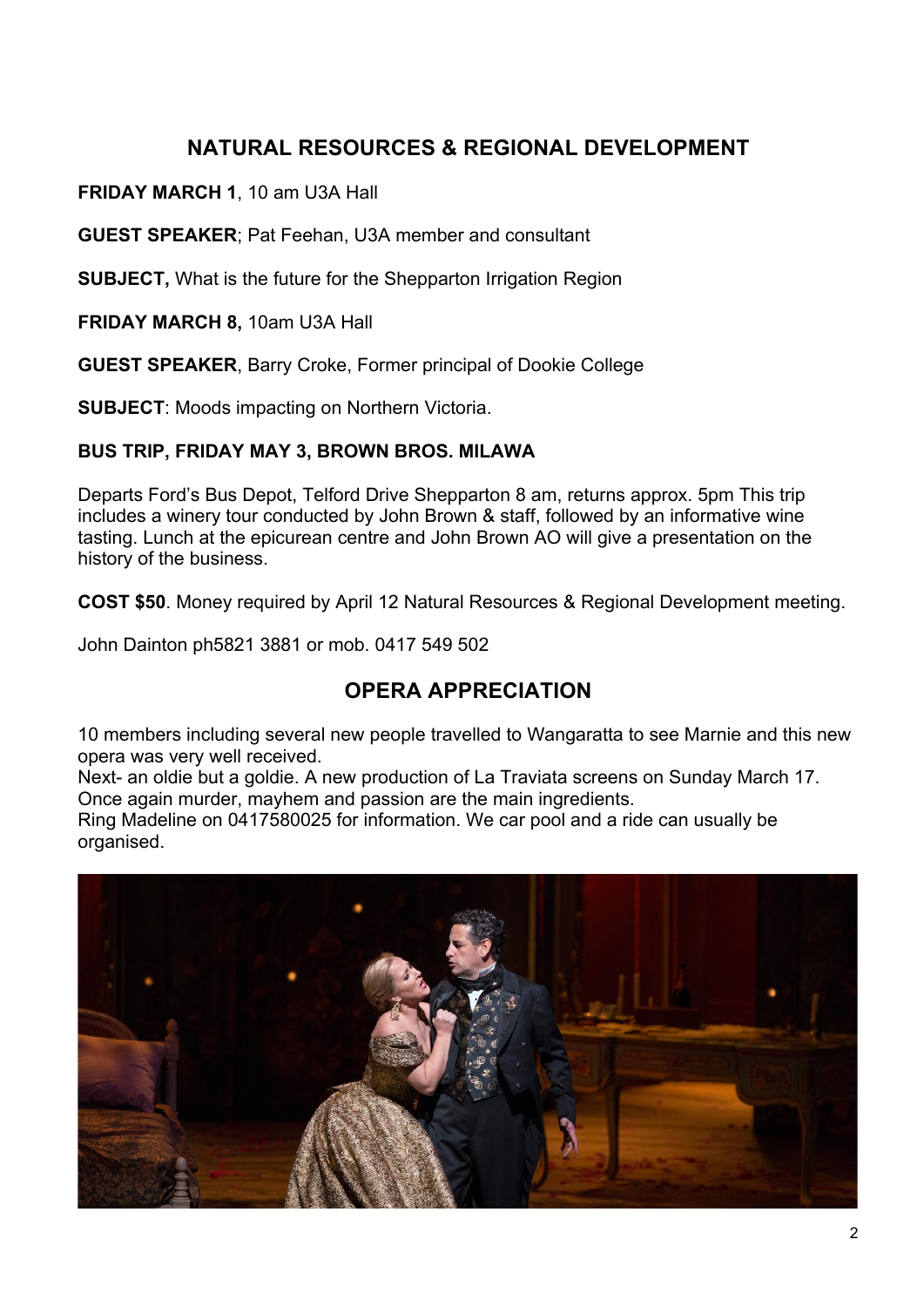## **NATURAL RESOURCES & REGIONAL DEVELOPMENT**

**FRIDAY MARCH 1**, 10 am U3A Hall

**GUEST SPEAKER**; Pat Feehan, U3A member and consultant

**SUBJECT,** What is the future for the Shepparton Irrigation Region

**FRIDAY MARCH 8,** 10am U3A Hall

**GUEST SPEAKER**, Barry Croke, Former principal of Dookie College

**SUBJECT**: Moods impacting on Northern Victoria.

### **BUS TRIP, FRIDAY MAY 3, BROWN BROS. MILAWA**

Departs Ford's Bus Depot, Telford Drive Shepparton 8 am, returns approx. 5pm This trip includes a winery tour conducted by John Brown & staff, followed by an informative wine tasting. Lunch at the epicurean centre and John Brown AO will give a presentation on the history of the business.

**COST \$50**. Money required by April 12 Natural Resources & Regional Development meeting.

John Dainton ph5821 3881 or mob. 0417 549 502

### **OPERA APPRECIATION**

10 members including several new people travelled to Wangaratta to see Marnie and this new opera was very well received.

Next- an oldie but a goldie. A new production of La Traviata screens on Sunday March 17. Once again murder, mayhem and passion are the main ingredients.

Ring Madeline on 0417580025 for information. We car pool and a ride can usually be organised.

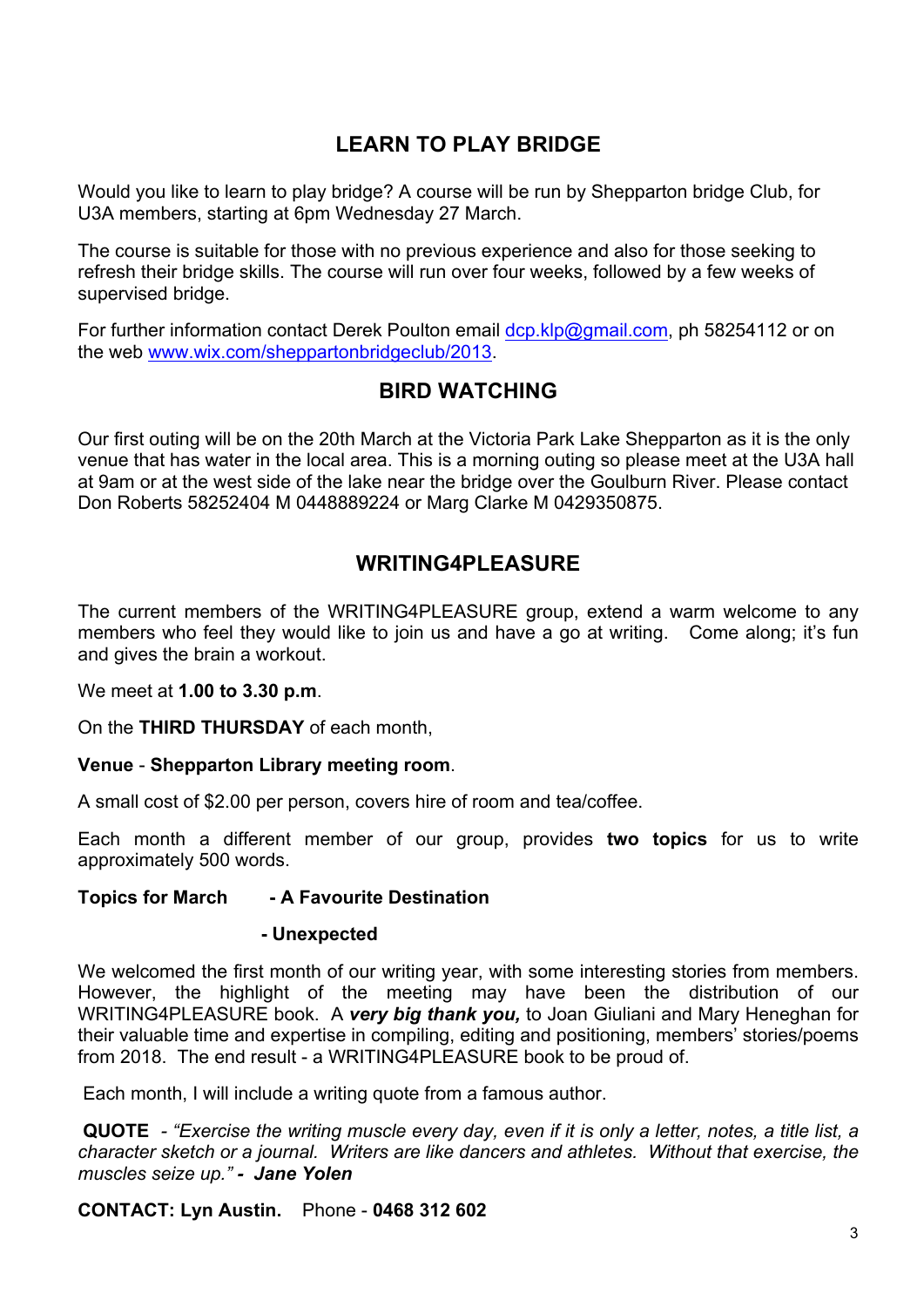## **LEARN TO PLAY BRIDGE**

Would you like to learn to play bridge? A course will be run by Shepparton bridge Club, for U3A members, starting at 6pm Wednesday 27 March.

The course is suitable for those with no previous experience and also for those seeking to refresh their bridge skills. The course will run over four weeks, followed by a few weeks of supervised bridge.

For further information contact Derek Poulton email dcp.klp@gmail.com, ph 58254112 or on the web www.wix.com/sheppartonbridgeclub/2013.

### **BIRD WATCHING**

Our first outing will be on the 20th March at the Victoria Park Lake Shepparton as it is the only venue that has water in the local area. This is a morning outing so please meet at the U3A hall at 9am or at the west side of the lake near the bridge over the Goulburn River. Please contact Don Roberts 58252404 M 0448889224 or Marg Clarke M 0429350875.

### **WRITING4PLEASURE**

The current members of the WRITING4PLEASURE group, extend a warm welcome to any members who feel they would like to join us and have a go at writing. Come along; it's fun and gives the brain a workout.

We meet at **1.00 to 3.30 p.m**.

On the **THIRD THURSDAY** of each month,

### **Venue** - **Shepparton Library meeting room**.

A small cost of \$2.00 per person, covers hire of room and tea/coffee.

Each month a different member of our group, provides **two topics** for us to write approximately 500 words.

#### **Topics for March - A Favourite Destination**

#### **- Unexpected**

We welcomed the first month of our writing year, with some interesting stories from members. However, the highlight of the meeting may have been the distribution of our WRITING4PLEASURE book. A *very big thank you,* to Joan Giuliani and Mary Heneghan for their valuable time and expertise in compiling, editing and positioning, members' stories/poems from 2018. The end result - a WRITING4PLEASURE book to be proud of.

Each month, I will include a writing quote from a famous author.

**QUOTE** *- "Exercise the writing muscle every day, even if it is only a letter, notes, a title list, a character sketch or a journal. Writers are like dancers and athletes. Without that exercise, the muscles seize up." - Jane Yolen*

**CONTACT: Lyn Austin.** Phone - **0468 312 602**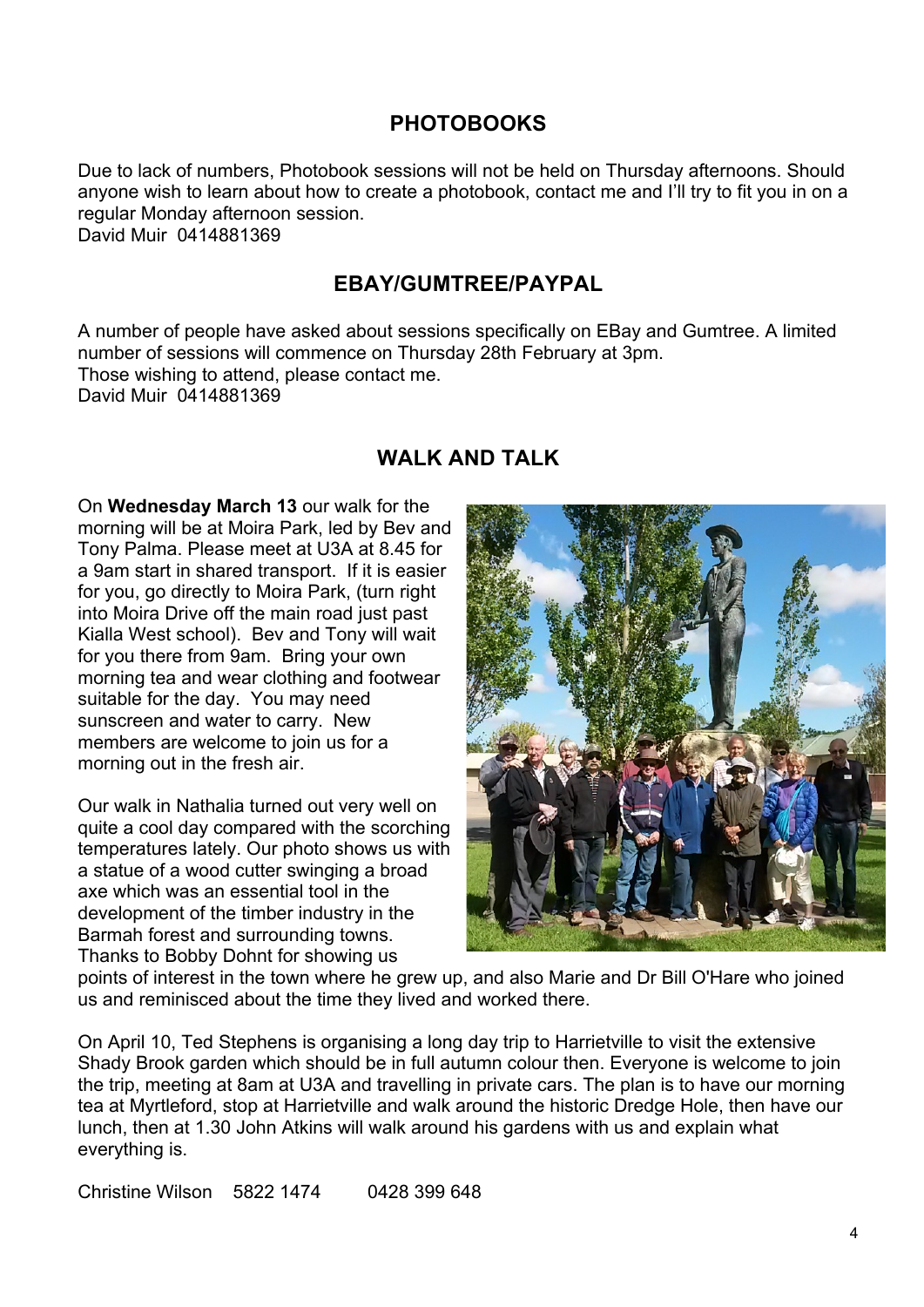### **PHOTOBOOKS**

Due to lack of numbers, Photobook sessions will not be held on Thursday afternoons. Should anyone wish to learn about how to create a photobook, contact me and I'll try to fit you in on a regular Monday afternoon session. David Muir 0414881369

### **EBAY/GUMTREE/PAYPAL**

A number of people have asked about sessions specifically on EBay and Gumtree. A limited number of sessions will commence on Thursday 28th February at 3pm. Those wishing to attend, please contact me. David Muir 0414881369

### **WALK AND TALK**

On **Wednesday March 13** our walk for the morning will be at Moira Park, led by Bev and Tony Palma. Please meet at U3A at 8.45 for a 9am start in shared transport. If it is easier for you, go directly to Moira Park, (turn right into Moira Drive off the main road just past Kialla West school). Bev and Tony will wait for you there from 9am. Bring your own morning tea and wear clothing and footwear suitable for the day. You may need sunscreen and water to carry. New members are welcome to join us for a morning out in the fresh air.

Our walk in Nathalia turned out very well on quite a cool day compared with the scorching temperatures lately. Our photo shows us with a statue of a wood cutter swinging a broad axe which was an essential tool in the development of the timber industry in the Barmah forest and surrounding towns. Thanks to Bobby Dohnt for showing us



points of interest in the town where he grew up, and also Marie and Dr Bill O'Hare who joined us and reminisced about the time they lived and worked there.

On April 10, Ted Stephens is organising a long day trip to Harrietville to visit the extensive Shady Brook garden which should be in full autumn colour then. Everyone is welcome to join the trip, meeting at 8am at U3A and travelling in private cars. The plan is to have our morning tea at Myrtleford, stop at Harrietville and walk around the historic Dredge Hole, then have our lunch, then at 1.30 John Atkins will walk around his gardens with us and explain what everything is.

Christine Wilson 5822 1474 0428 399 648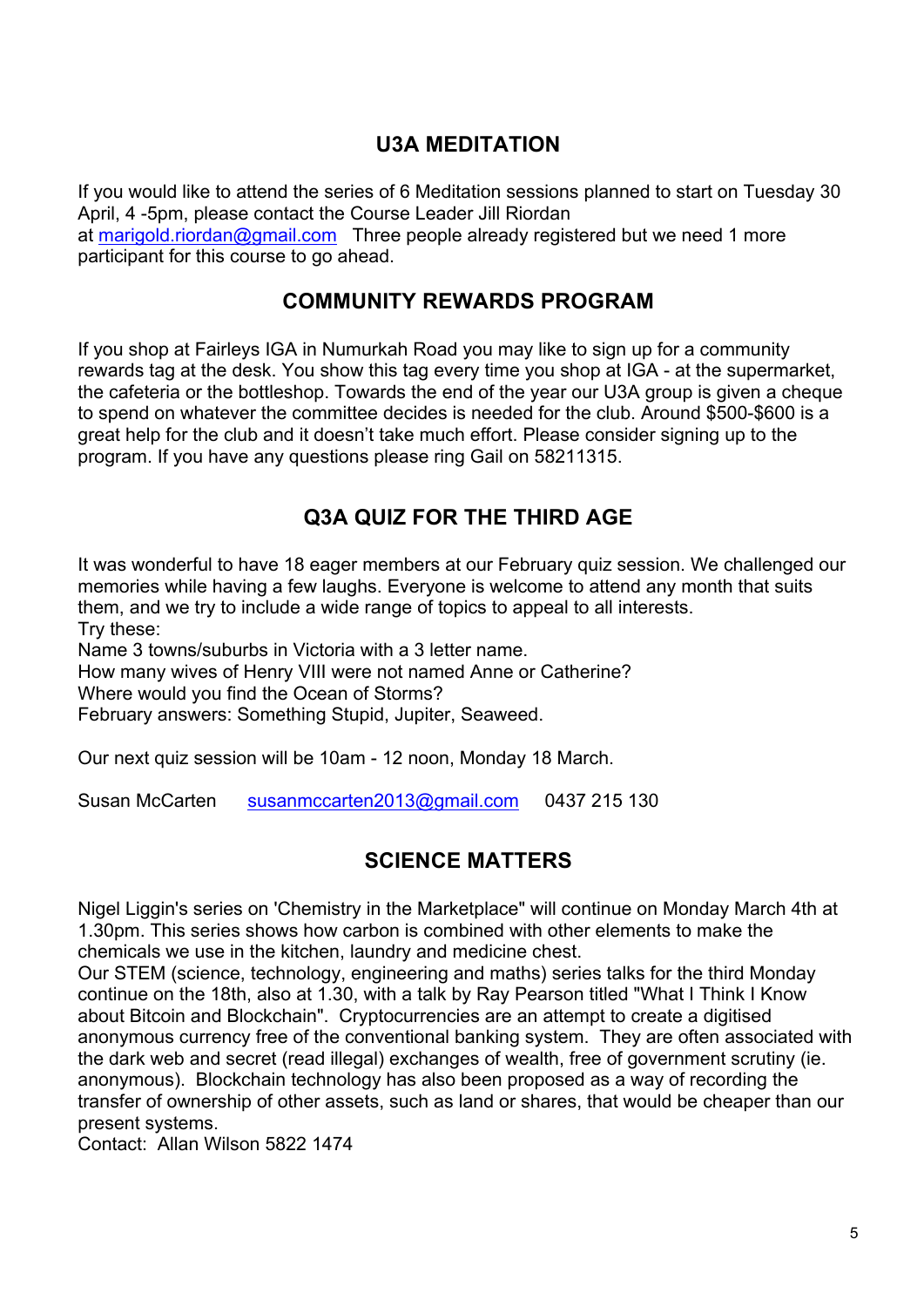### **U3A MEDITATION**

If you would like to attend the series of 6 Meditation sessions planned to start on Tuesday 30 April, 4 -5pm, please contact the Course Leader Jill Riordan at marigold.riordan@gmail.com Three people already registered but we need 1 more participant for this course to go ahead.

### **COMMUNITY REWARDS PROGRAM**

If you shop at Fairleys IGA in Numurkah Road you may like to sign up for a community rewards tag at the desk. You show this tag every time you shop at IGA - at the supermarket, the cafeteria or the bottleshop. Towards the end of the year our U3A group is given a cheque to spend on whatever the committee decides is needed for the club. Around \$500-\$600 is a great help for the club and it doesn't take much effort. Please consider signing up to the program. If you have any questions please ring Gail on 58211315.

### **Q3A QUIZ FOR THE THIRD AGE**

It was wonderful to have 18 eager members at our February quiz session. We challenged our memories while having a few laughs. Everyone is welcome to attend any month that suits them, and we try to include a wide range of topics to appeal to all interests. Try these:

Name 3 towns/suburbs in Victoria with a 3 letter name.

How many wives of Henry VIII were not named Anne or Catherine?

Where would you find the Ocean of Storms?

February answers: Something Stupid, Jupiter, Seaweed.

Our next quiz session will be 10am - 12 noon, Monday 18 March.

Susan McCarten susanmccarten2013@gmail.com 0437 215 130

### **SCIENCE MATTERS**

Nigel Liggin's series on 'Chemistry in the Marketplace" will continue on Monday March 4th at 1.30pm. This series shows how carbon is combined with other elements to make the chemicals we use in the kitchen, laundry and medicine chest.

Our STEM (science, technology, engineering and maths) series talks for the third Monday continue on the 18th, also at 1.30, with a talk by Ray Pearson titled "What I Think I Know about Bitcoin and Blockchain". Cryptocurrencies are an attempt to create a digitised anonymous currency free of the conventional banking system. They are often associated with the dark web and secret (read illegal) exchanges of wealth, free of government scrutiny (ie. anonymous). Blockchain technology has also been proposed as a way of recording the transfer of ownership of other assets, such as land or shares, that would be cheaper than our present systems.

Contact: Allan Wilson 5822 1474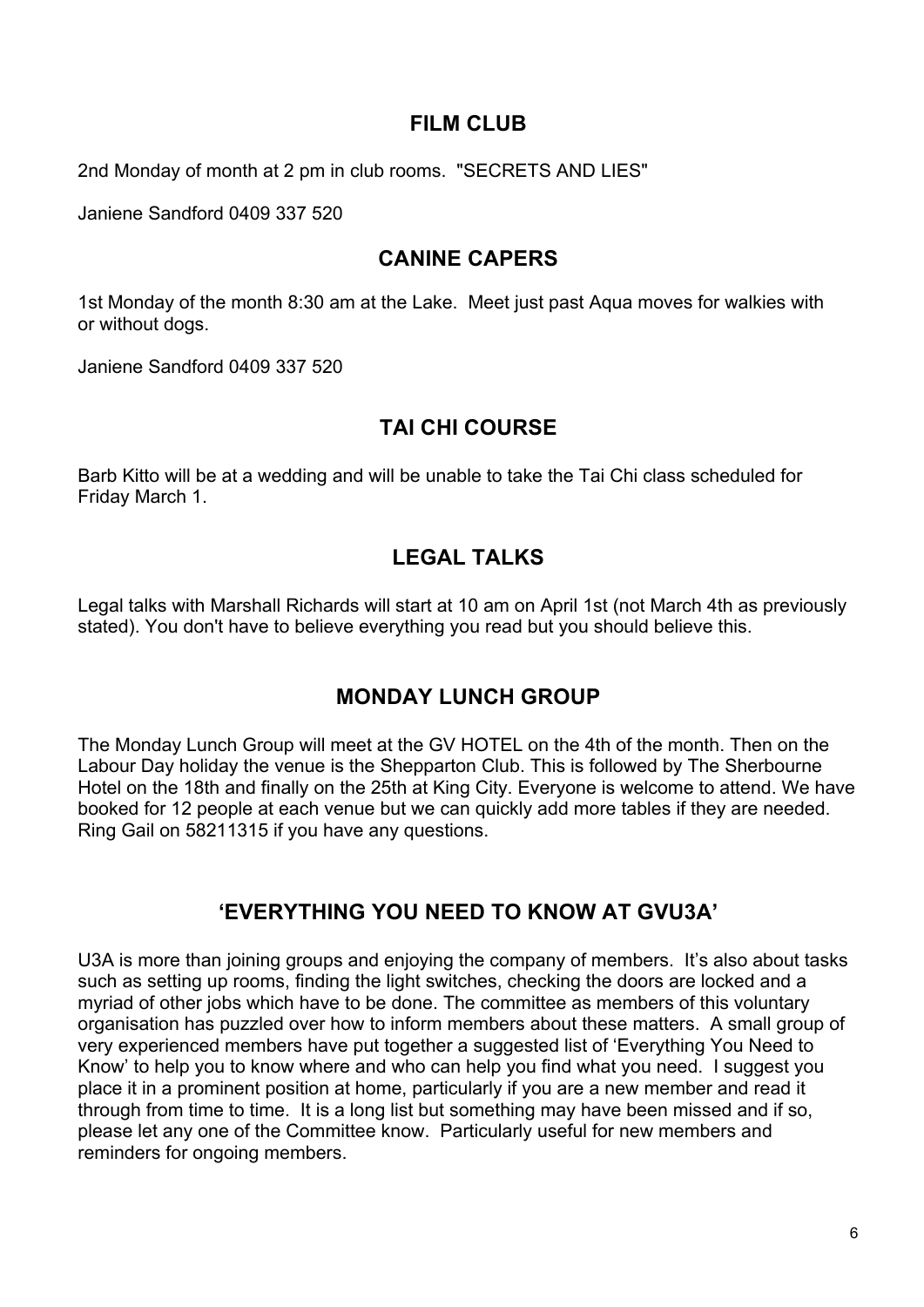### **FILM CLUB**

2nd Monday of month at 2 pm in club rooms. "SECRETS AND LIES"

Janiene Sandford 0409 337 520

### **CANINE CAPERS**

1st Monday of the month 8:30 am at the Lake. Meet just past Aqua moves for walkies with or without dogs.

Janiene Sandford 0409 337 520

### **TAI CHI COURSE**

Barb Kitto will be at a wedding and will be unable to take the Tai Chi class scheduled for Friday March 1.

### **LEGAL TALKS**

Legal talks with Marshall Richards will start at 10 am on April 1st (not March 4th as previously stated). You don't have to believe everything you read but you should believe this.

### **MONDAY LUNCH GROUP**

The Monday Lunch Group will meet at the GV HOTEL on the 4th of the month. Then on the Labour Day holiday the venue is the Shepparton Club. This is followed by The Sherbourne Hotel on the 18th and finally on the 25th at King City. Everyone is welcome to attend. We have booked for 12 people at each venue but we can quickly add more tables if they are needed. Ring Gail on 58211315 if you have any questions.

### **'EVERYTHING YOU NEED TO KNOW AT GVU3A'**

U3A is more than joining groups and enjoying the company of members. It's also about tasks such as setting up rooms, finding the light switches, checking the doors are locked and a myriad of other jobs which have to be done. The committee as members of this voluntary organisation has puzzled over how to inform members about these matters. A small group of very experienced members have put together a suggested list of 'Everything You Need to Know' to help you to know where and who can help you find what you need. I suggest you place it in a prominent position at home, particularly if you are a new member and read it through from time to time. It is a long list but something may have been missed and if so, please let any one of the Committee know. Particularly useful for new members and reminders for ongoing members.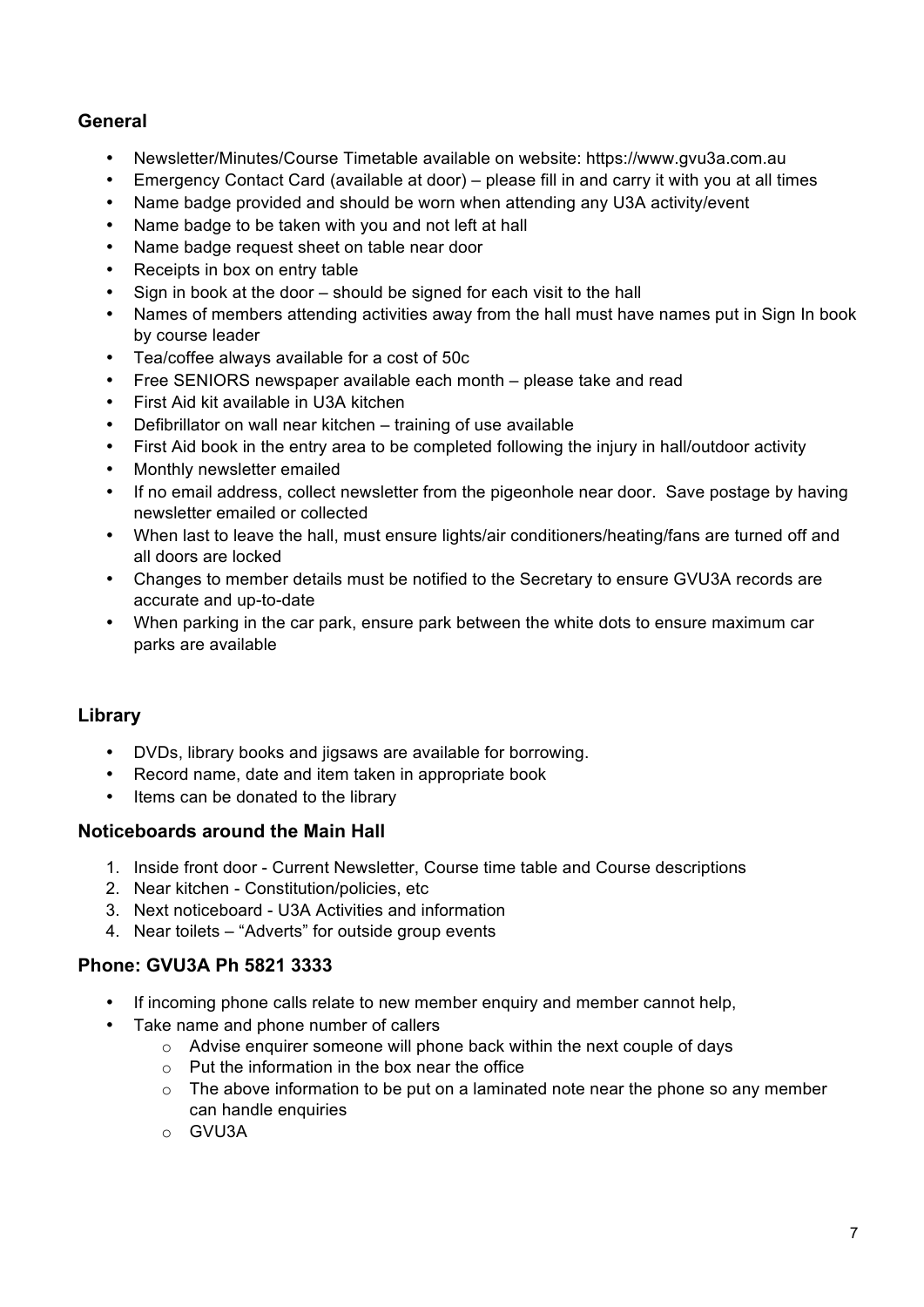### **General**

- Newsletter/Minutes/Course Timetable available on website: https://www.gvu3a.com.au
- Emergency Contact Card (available at door) please fill in and carry it with you at all times
- Name badge provided and should be worn when attending any U3A activity/event
- Name badge to be taken with you and not left at hall
- Name badge request sheet on table near door
- Receipts in box on entry table
- Sign in book at the door should be signed for each visit to the hall
- Names of members attending activities away from the hall must have names put in Sign In book by course leader
- Tea/coffee always available for a cost of 50c
- Free SENIORS newspaper available each month please take and read
- First Aid kit available in U3A kitchen
- Defibrillator on wall near kitchen training of use available
- First Aid book in the entry area to be completed following the injury in hall/outdoor activity
- Monthly newsletter emailed
- If no email address, collect newsletter from the pigeonhole near door. Save postage by having newsletter emailed or collected
- When last to leave the hall, must ensure lights/air conditioners/heating/fans are turned off and all doors are locked
- Changes to member details must be notified to the Secretary to ensure GVU3A records are accurate and up-to-date
- When parking in the car park, ensure park between the white dots to ensure maximum car parks are available

### **Library**

- DVDs, library books and jigsaws are available for borrowing.
- Record name, date and item taken in appropriate book
- Items can be donated to the library

#### **Noticeboards around the Main Hall**

- 1. Inside front door Current Newsletter, Course time table and Course descriptions
- 2. Near kitchen Constitution/policies, etc
- 3. Next noticeboard U3A Activities and information
- 4. Near toilets "Adverts" for outside group events

#### **Phone: GVU3A Ph 5821 3333**

- If incoming phone calls relate to new member enquiry and member cannot help,
	- Take name and phone number of callers
		- o Advise enquirer someone will phone back within the next couple of days
		- $\circ$  Put the information in the box near the office
		- $\circ$  The above information to be put on a laminated note near the phone so any member can handle enquiries
		- o GVU3A